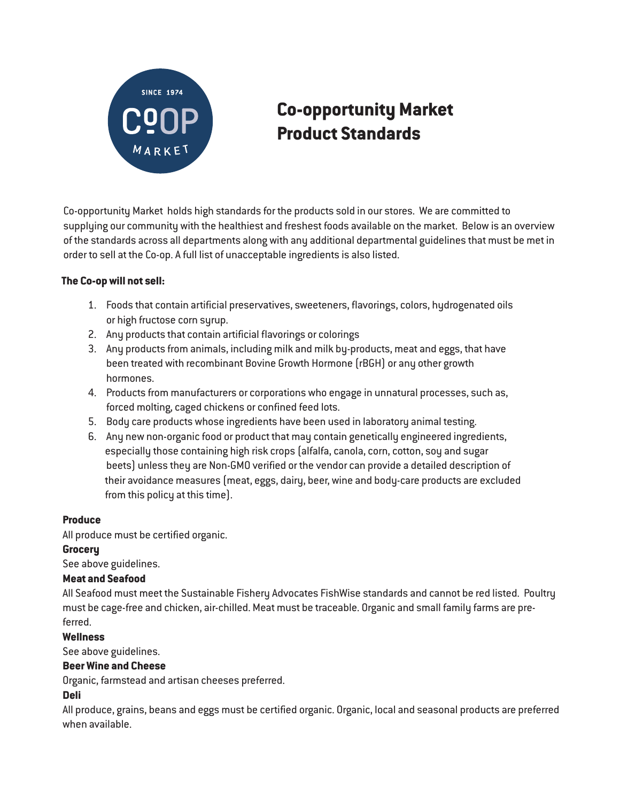

# Co-opportunity Market Product Standards

Co-opportunity Market holds high standards for the products sold in our stores. We are committed to supplying our community with the healthiest and freshest foods available on the market. Below is an overview of the standards across all departments along with any additional departmental guidelines that must be met in order to sell at the Co-op. A full list of unacceptable ingredients is also listed.

## The Co-op will not sell:

- 1. Foods that contain artificial preservatives, sweeteners, flavorings, colors, hydrogenated oils or high fructose corn syrup.
- 2. Any products that contain artificial flavorings or colorings
- 3. Any products from animals, including milk and milk by-products, meat and eggs, that have been treated with recombinant Bovine Growth Hormone (rBGH) or any other growth hormones.
- 4. Products from manufacturers or corporations who engage in unnatural processes, such as, forced molting, caged chickens or confined feed lots.
- 5. Body care products whose ingredients have been used in laboratory animal testing.
- 6. Any new non-organic food or product that may contain genetically engineered ingredients, especially those containing high risk crops (alfalfa, canola, corn, cotton, soy and sugar beets) unless they are Non-GMO verified or the vendor can provide a detailed description of their avoidance measures (meat, eggs, dairy, beer, wine and body-care products are excluded from this policy at this time).

### Produce

All produce must be certified organic.

### **Grocery**

See above guidelines.

### Meat and Seafood

All Seafood must meet the Sustainable Fishery Advocates FishWise standards and cannot be red listed. Poultry must be cage-free and chicken, air-chilled. Meat must be traceable. Organic and small family farms are preferred.

### **Wellness**

See above guidelines.

### Beer Wine and Cheese

Organic, farmstead and artisan cheeses preferred.

### Deli

All produce, grains, beans and eggs must be certified organic. Organic, local and seasonal products are preferred when available.